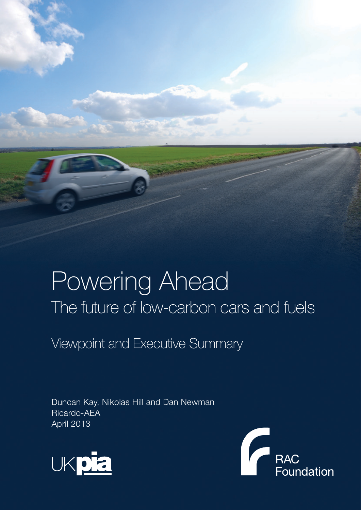# Powering Ahead The future of low-carbon cars and fuels

Viewpoint and Executive Summary

Duncan Kay, Nikolas Hill and Dan Newman Ricardo-AEA April 2013



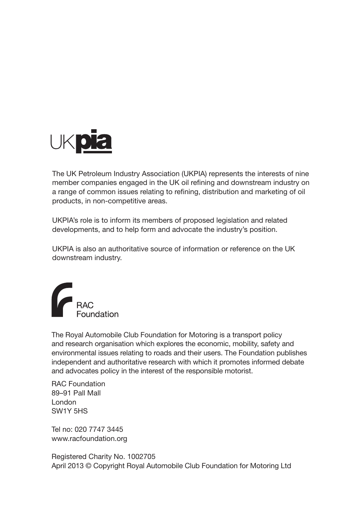

The UK Petroleum Industry Association (UKPIA) represents the interests of nine member companies engaged in the UK oil refining and downstream industry on a range of common issues relating to refining, distribution and marketing of oil products, in non-competitive areas.

UKPIA's role is to inform its members of proposed legislation and related developments, and to help form and advocate the industry's position.

UKPIA is also an authoritative source of information or reference on the UK downstream industry.



The Royal Automobile Club Foundation for Motoring is a transport policy and research organisation which explores the economic, mobility, safety and environmental issues relating to roads and their users. The Foundation publishes independent and authoritative research with which it promotes informed debate and advocates policy in the interest of the responsible motorist.

RAC Foundation 89–91 Pall Mall London SW1Y 5HS

Tel no: 020 7747 3445 www.racfoundation.org

Registered Charity No. 1002705 April 2013 © Copyright Royal Automobile Club Foundation for Motoring Ltd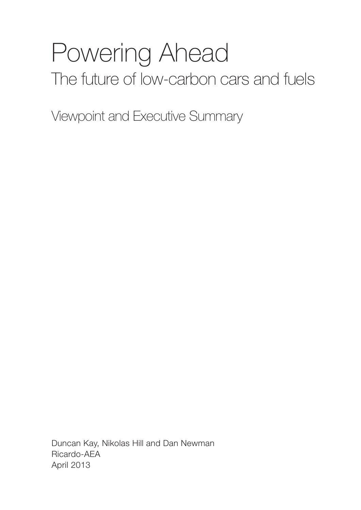# Powering Ahead The future of low-carbon cars and fuels

Viewpoint and Executive Summary

Duncan Kay, Nikolas Hill and Dan Newman Ricardo-AEA April 2013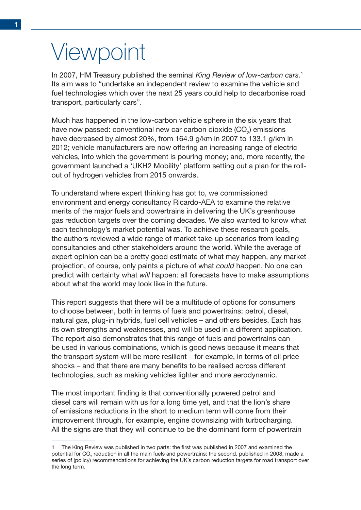# Viewpoint

In 2007, HM Treasury published the seminal *King Review of low-carbon cars*. 1 Its aim was to "undertake an independent review to examine the vehicle and fuel technologies which over the next 25 years could help to decarbonise road transport, particularly cars".

Much has happened in the low-carbon vehicle sphere in the six years that have now passed: conventional new car carbon dioxide (CO<sub>2</sub>) emissions have decreased by almost 20%, from 164.9 g/km in 2007 to 133.1 g/km in 2012; vehicle manufacturers are now offering an increasing range of electric vehicles, into which the government is pouring money; and, more recently, the government launched a 'UKH2 Mobility' platform setting out a plan for the rollout of hydrogen vehicles from 2015 onwards.

To understand where expert thinking has got to, we commissioned environment and energy consultancy Ricardo-AEA to examine the relative merits of the major fuels and powertrains in delivering the UK's greenhouse gas reduction targets over the coming decades. We also wanted to know what each technology's market potential was. To achieve these research goals, the authors reviewed a wide range of market take-up scenarios from leading consultancies and other stakeholders around the world. While the average of expert opinion can be a pretty good estimate of what may happen, any market projection, of course, only paints a picture of what *could* happen. No one can predict with certainty what *will* happen: all forecasts have to make assumptions about what the world may look like in the future.

This report suggests that there will be a multitude of options for consumers to choose between, both in terms of fuels and powertrains: petrol, diesel, natural gas, plug-in hybrids, fuel cell vehicles – and others besides. Each has its own strengths and weaknesses, and will be used in a different application. The report also demonstrates that this range of fuels and powertrains can be used in various combinations, which is good news because it means that the transport system will be more resilient – for example, in terms of oil price shocks – and that there are many benefits to be realised across different technologies, such as making vehicles lighter and more aerodynamic.

The most important finding is that conventionally powered petrol and diesel cars will remain with us for a long time yet, and that the lion's share of emissions reductions in the short to medium term will come from their improvement through, for example, engine downsizing with turbocharging. All the signs are that they will continue to be the dominant form of powertrain

The King Review was published in two parts: the first was published in 2007 and examined the potential for CO<sub>2</sub> reduction in all the main fuels and powertrains; the second, published in 2008, made a series of (policy) recommendations for achieving the UK's carbon reduction targets for road transport over the long term.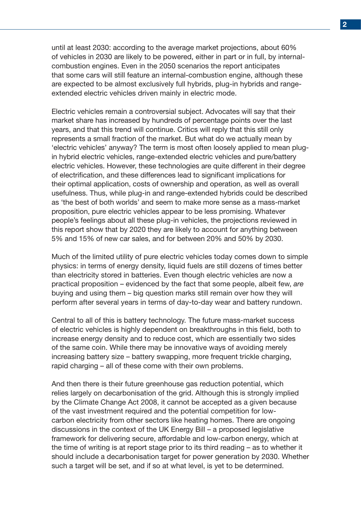until at least 2030: according to the average market projections, about 60% of vehicles in 2030 are likely to be powered, either in part or in full, by internalcombustion engines. Even in the 2050 scenarios the report anticipates that some cars will still feature an internal-combustion engine, although these are expected to be almost exclusively full hybrids, plug-in hybrids and rangeextended electric vehicles driven mainly in electric mode.

Electric vehicles remain a controversial subject. Advocates will say that their market share has increased by hundreds of percentage points over the last years, and that this trend will continue. Critics will reply that this still only represents a small fraction of the market. But what do we actually mean by 'electric vehicles' anyway? The term is most often loosely applied to mean plugin hybrid electric vehicles, range-extended electric vehicles and pure/battery electric vehicles. However, these technologies are quite different in their degree of electrification, and these differences lead to significant implications for their optimal application, costs of ownership and operation, as well as overall usefulness. Thus, while plug-in and range-extended hybrids could be described as 'the best of both worlds' and seem to make more sense as a mass-market proposition, pure electric vehicles appear to be less promising. Whatever people's feelings about all these plug-in vehicles, the projections reviewed in this report show that by 2020 they are likely to account for anything between 5% and 15% of new car sales, and for between 20% and 50% by 2030.

Much of the limited utility of pure electric vehicles today comes down to simple physics: in terms of energy density, liquid fuels are still dozens of times better than electricity stored in batteries. Even though electric vehicles are now a practical proposition – evidenced by the fact that some people, albeit few, *are* buying and using them – big question marks still remain over how they will perform after several years in terms of day-to-day wear and battery rundown.

Central to all of this is battery technology. The future mass-market success of electric vehicles is highly dependent on breakthroughs in this field, both to increase energy density and to reduce cost, which are essentially two sides of the same coin. While there may be innovative ways of avoiding merely increasing battery size – battery swapping, more frequent trickle charging, rapid charging – all of these come with their own problems.

And then there is their future greenhouse gas reduction potential, which relies largely on decarbonisation of the grid. Although this is strongly implied by the Climate Change Act 2008, it cannot be accepted as a given because of the vast investment required and the potential competition for lowcarbon electricity from other sectors like heating homes. There are ongoing discussions in the context of the UK Energy Bill – a proposed legislative framework for delivering secure, affordable and low-carbon energy, which at the time of writing is at report stage prior to its third reading – as to whether it should include a decarbonisation target for power generation by 2030. Whether such a target will be set, and if so at what level, is yet to be determined.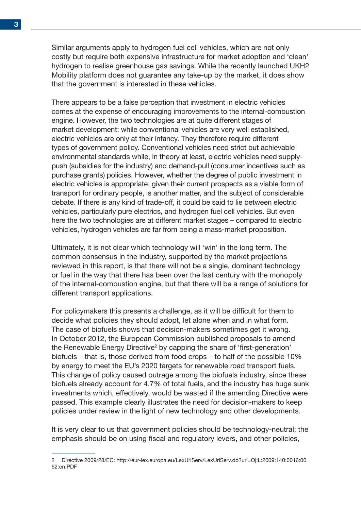Similar arguments apply to hydrogen fuel cell vehicles, which are not only costly but require both expensive infrastructure for market adoption and 'clean' hydrogen to realise greenhouse gas savings. While the recently launched UKH2 Mobility platform does not guarantee any take-up by the market, it does show that the government is interested in these vehicles.

There appears to be a false perception that investment in electric vehicles comes at the expense of encouraging improvements to the internal-combustion engine. However, the two technologies are at quite different stages of market development: while conventional vehicles are very well established, electric vehicles are only at their infancy. They therefore require different types of government policy. Conventional vehicles need strict but achievable environmental standards while, in theory at least, electric vehicles need supplypush (subsidies for the industry) and demand-pull (consumer incentives such as purchase grants) policies. However, whether the degree of public investment in electric vehicles is appropriate, given their current prospects as a viable form of transport for ordinary people, is another matter, and the subject of considerable debate. If there is any kind of trade-off, it could be said to lie between electric vehicles, particularly pure electrics, and hydrogen fuel cell vehicles. But even here the two technologies are at different market stages – compared to electric vehicles, hydrogen vehicles are far from being a mass-market proposition.

Ultimately, it is not clear which technology will 'win' in the long term. The common consensus in the industry, supported by the market projections reviewed in this report, is that there will not be a single, dominant technology or fuel in the way that there has been over the last century with the monopoly of the internal-combustion engine, but that there will be a range of solutions for different transport applications.

For policymakers this presents a challenge, as it will be difficult for them to decide what policies they should adopt, let alone when and in what form. The case of biofuels shows that decision-makers sometimes get it wrong. In October 2012, the European Commission published proposals to amend the Renewable Energy Directive<sup>2</sup> by capping the share of 'first-generation' biofuels – that is, those derived from food crops – to half of the possible 10% by energy to meet the EU's 2020 targets for renewable road transport fuels. This change of policy caused outrage among the biofuels industry, since these biofuels already account for 4.7% of total fuels, and the industry has huge sunk investments which, effectively, would be wasted if the amending Directive were passed. This example clearly illustrates the need for decision-makers to keep policies under review in the light of new technology and other developments.

It is very clear to us that government policies should be technology-neutral; the emphasis should be on using fiscal and regulatory levers, and other policies,

<sup>2</sup> Directive 2009/28/EC: http://eur-lex.europa.eu/LexUriServ/LexUriServ.do?uri=Oj:L:2009:140:0016:00 62:en:PDF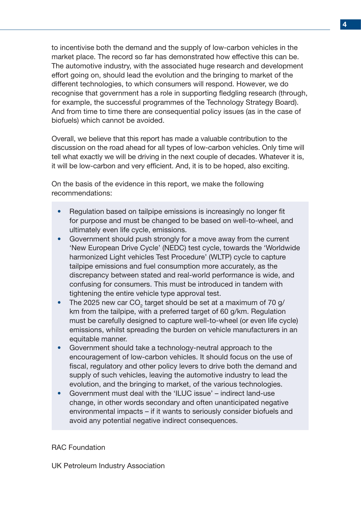to incentivise both the demand and the supply of low-carbon vehicles in the market place. The record so far has demonstrated how effective this can be. The automotive industry, with the associated huge research and development effort going on, should lead the evolution and the bringing to market of the different technologies, to which consumers will respond. However, we do recognise that government has a role in supporting fledgling research (through, for example, the successful programmes of the Technology Strategy Board). And from time to time there are consequential policy issues (as in the case of biofuels) which cannot be avoided.

Overall, we believe that this report has made a valuable contribution to the discussion on the road ahead for all types of low-carbon vehicles. Only time will tell what exactly we will be driving in the next couple of decades. Whatever it is, it will be low-carbon and very efficient. And, it is to be hoped, also exciting.

On the basis of the evidence in this report, we make the following recommendations:

- Regulation based on tailpipe emissions is increasingly no longer fit for purpose and must be changed to be based on well-to-wheel, and ultimately even life cycle, emissions.
- Government should push strongly for a move away from the current 'New European Drive Cycle' (NEDC) test cycle, towards the 'Worldwide harmonized Light vehicles Test Procedure' (WLTP) cycle to capture tailpipe emissions and fuel consumption more accurately, as the discrepancy between stated and real-world performance is wide, and confusing for consumers. This must be introduced in tandem with tightening the entire vehicle type approval test.
- The 2025 new car CO<sub>2</sub> target should be set at a maximum of 70 g/ km from the tailpipe, with a preferred target of 60 g/km. Regulation must be carefully designed to capture well-to-wheel (or even life cycle) emissions, whilst spreading the burden on vehicle manufacturers in an equitable manner.
- Government should take a technology-neutral approach to the encouragement of low-carbon vehicles. It should focus on the use of fiscal, regulatory and other policy levers to drive both the demand and supply of such vehicles, leaving the automotive industry to lead the evolution, and the bringing to market, of the various technologies.
- Government must deal with the 'ILUC issue' indirect land-use change, in other words secondary and often unanticipated negative environmental impacts – if it wants to seriously consider biofuels and avoid any potential negative indirect consequences.

#### RAC Foundation

UK Petroleum Industry Association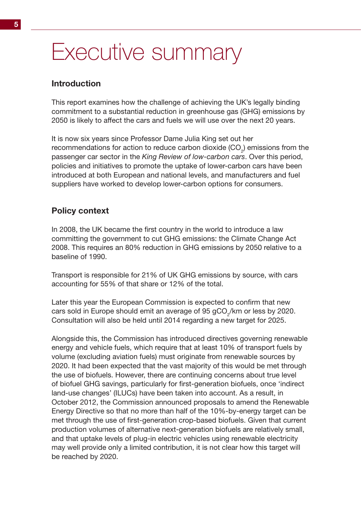# Executive summary

## **Introduction**

This report examines how the challenge of achieving the UK's legally binding commitment to a substantial reduction in greenhouse gas (GHG) emissions by 2050 is likely to affect the cars and fuels we will use over the next 20 years.

It is now six years since Professor Dame Julia King set out her recommendations for action to reduce carbon dioxide (CO<sub>2</sub>) emissions from the passenger car sector in the *King Review of low-carbon cars*. Over this period, policies and initiatives to promote the uptake of lower-carbon cars have been introduced at both European and national levels, and manufacturers and fuel suppliers have worked to develop lower-carbon options for consumers.

## **Policy context**

In 2008, the UK became the first country in the world to introduce a law committing the government to cut GHG emissions: the Climate Change Act 2008. This requires an 80% reduction in GHG emissions by 2050 relative to a baseline of 1990.

Transport is responsible for 21% of UK GHG emissions by source, with cars accounting for 55% of that share or 12% of the total.

Later this year the European Commission is expected to confirm that new cars sold in Europe should emit an average of 95 gCO<sub>2</sub>/km or less by 2020. Consultation will also be held until 2014 regarding a new target for 2025.

Alongside this, the Commission has introduced directives governing renewable energy and vehicle fuels, which require that at least 10% of transport fuels by volume (excluding aviation fuels) must originate from renewable sources by 2020. It had been expected that the vast majority of this would be met through the use of biofuels. However, there are continuing concerns about true level of biofuel GHG savings, particularly for first-generation biofuels, once 'indirect land-use changes' (ILUCs) have been taken into account. As a result, in October 2012, the Commission announced proposals to amend the Renewable Energy Directive so that no more than half of the 10%-by-energy target can be met through the use of first-generation crop-based biofuels. Given that current production volumes of alternative next-generation biofuels are relatively small, and that uptake levels of plug-in electric vehicles using renewable electricity may well provide only a limited contribution, it is not clear how this target will be reached by 2020.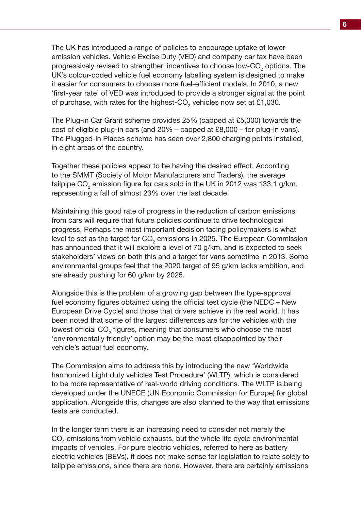The UK has introduced a range of policies to encourage uptake of loweremission vehicles. Vehicle Excise Duty (VED) and company car tax have been progressively revised to strengthen incentives to choose low-CO<sub>2</sub> options. The UK's colour-coded vehicle fuel economy labelling system is designed to make it easier for consumers to choose more fuel-efficient models. In 2010, a new 'first-year rate' of VED was introduced to provide a stronger signal at the point of purchase, with rates for the highest-CO<sub>2</sub> vehicles now set at £1,030.

The Plug-in Car Grant scheme provides 25% (capped at £5,000) towards the cost of eligible plug-in cars (and 20% – capped at £8,000 – for plug-in vans). The Plugged-in Places scheme has seen over 2,800 charging points installed, in eight areas of the country.

Together these policies appear to be having the desired effect. According to the SMMT (Society of Motor Manufacturers and Traders), the average tailpipe CO<sub>2</sub> emission figure for cars sold in the UK in 2012 was 133.1 g/km, representing a fall of almost 23% over the last decade.

Maintaining this good rate of progress in the reduction of carbon emissions from cars will require that future policies continue to drive technological progress. Perhaps the most important decision facing policymakers is what level to set as the target for CO $_{\textrm{\tiny{2}}}$  emissions in 2025. The European Commission has announced that it will explore a level of 70 g/km, and is expected to seek stakeholders' views on both this and a target for vans sometime in 2013. Some environmental groups feel that the 2020 target of 95 g/km lacks ambition, and are already pushing for 60 g/km by 2025.

Alongside this is the problem of a growing gap between the type-approval fuel economy figures obtained using the official test cycle (the NEDC – New European Drive Cycle) and those that drivers achieve in the real world. It has been noted that some of the largest differences are for the vehicles with the lowest official CO<sub>2</sub> figures, meaning that consumers who choose the most 'environmentally friendly' option may be the most disappointed by their vehicle's actual fuel economy.

The Commission aims to address this by introducing the new 'Worldwide harmonized Light duty vehicles Test Procedure' (WLTP), which is considered to be more representative of real-world driving conditions. The WLTP is being developed under the UNECE (UN Economic Commission for Europe) for global application. Alongside this, changes are also planned to the way that emissions tests are conducted.

In the longer term there is an increasing need to consider not merely the  $\mathsf{CO}_2$  emissions from vehicle exhausts, but the whole life cycle environmental impacts of vehicles. For pure electric vehicles, referred to here as battery electric vehicles (BEVs), it does not make sense for legislation to relate solely to tailpipe emissions, since there are none. However, there are certainly emissions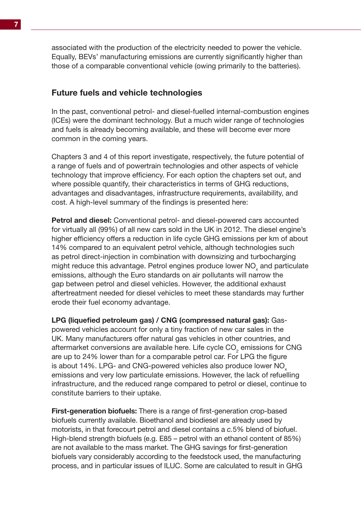associated with the production of the electricity needed to power the vehicle. Equally, BEVs' manufacturing emissions are currently significantly higher than those of a comparable conventional vehicle (owing primarily to the batteries).

#### **Future fuels and vehicle technologies**

In the past, conventional petrol- and diesel-fuelled internal-combustion engines (ICEs) were the dominant technology. But a much wider range of technologies and fuels is already becoming available, and these will become ever more common in the coming years.

Chapters 3 and 4 of this report investigate, respectively, the future potential of a range of fuels and of powertrain technologies and other aspects of vehicle technology that improve efficiency. For each option the chapters set out, and where possible quantify, their characteristics in terms of GHG reductions, advantages and disadvantages, infrastructure requirements, availability, and cost. A high-level summary of the findings is presented here:

**Petrol and diesel:** Conventional petrol- and diesel-powered cars accounted for virtually all (99%) of all new cars sold in the UK in 2012. The diesel engine's higher efficiency offers a reduction in life cycle GHG emissions per km of about 14% compared to an equivalent petrol vehicle, although technologies such as petrol direct-injection in combination with downsizing and turbocharging might reduce this advantage. Petrol engines produce lower NO<sub>x</sub> and particulate emissions, although the Euro standards on air pollutants will narrow the gap between petrol and diesel vehicles. However, the additional exhaust aftertreatment needed for diesel vehicles to meet these standards may further erode their fuel economy advantage.

**LPG (liquefied petroleum gas) / CNG (compressed natural gas):** Gaspowered vehicles account for only a tiny fraction of new car sales in the UK. Many manufacturers offer natural gas vehicles in other countries, and aftermarket conversions are available here. Life cycle CO<sub>2</sub> emissions for CNG are up to 24% lower than for a comparable petrol car. For LPG the figure is about 14%. LPG- and CNG-powered vehicles also produce lower NO<sub>y</sub> emissions and very low particulate emissions. However, the lack of refuelling infrastructure, and the reduced range compared to petrol or diesel, continue to constitute barriers to their uptake.

**First-generation biofuels:** There is a range of first-generation crop-based biofuels currently available. Bioethanol and biodiesel are already used by motorists, in that forecourt petrol and diesel contains a *c.*5% blend of biofuel. High-blend strength biofuels (e.g. E85 – petrol with an ethanol content of 85%) are not available to the mass market. The GHG savings for first-generation biofuels vary considerably according to the feedstock used, the manufacturing process, and in particular issues of ILUC. Some are calculated to result in GHG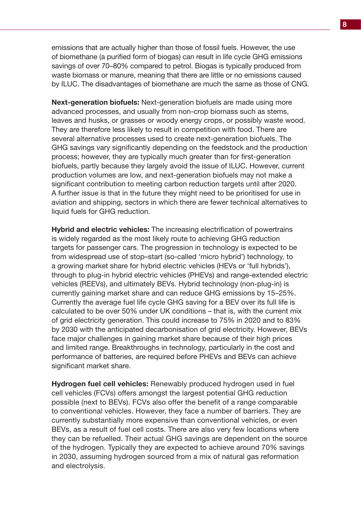emissions that are actually higher than those of fossil fuels. However, the use of biomethane (a purified form of biogas) can result in life cycle GHG emissions savings of over 70–80% compared to petrol. Biogas is typically produced from waste biomass or manure, meaning that there are little or no emissions caused by ILUC. The disadvantages of biomethane are much the same as those of CNG.

**Next-generation biofuels:** Next-generation biofuels are made using more advanced processes, and usually from non-crop biomass such as stems, leaves and husks, or grasses or woody energy crops, or possibly waste wood. They are therefore less likely to result in competition with food. There are several alternative processes used to create next-generation biofuels. The GHG savings vary significantly depending on the feedstock and the production process; however, they are typically much greater than for first-generation biofuels, partly because they largely avoid the issue of ILUC. However, current production volumes are low, and next-generation biofuels may not make a significant contribution to meeting carbon reduction targets until after 2020. A further issue is that in the future they might need to be prioritised for use in aviation and shipping, sectors in which there are fewer technical alternatives to liquid fuels for GHG reduction.

**Hybrid and electric vehicles:** The increasing electrification of powertrains is widely regarded as the most likely route to achieving GHG reduction targets for passenger cars. The progression in technology is expected to be from widespread use of stop–start (so-called 'micro hybrid') technology, to a growing market share for hybrid electric vehicles (HEVs or 'full hybrids'), through to plug-in hybrid electric vehicles (PHEVs) and range-extended electric vehicles (REEVs), and ultimately BEVs. Hybrid technology (non-plug-in) is currently gaining market share and can reduce GHG emissions by 15–25%. Currently the average fuel life cycle GHG saving for a BEV over its full life is calculated to be over 50% under UK conditions – that is, with the current mix of grid electricity generation. This could increase to 75% in 2020 and to 83% by 2030 with the anticipated decarbonisation of grid electricity. However, BEVs face major challenges in gaining market share because of their high prices and limited range. Breakthroughs in technology, particularly in the cost and performance of batteries, are required before PHEVs and BEVs can achieve significant market share.

**Hydrogen fuel cell vehicles:** Renewably produced hydrogen used in fuel cell vehicles (FCVs) offers amongst the largest potential GHG reduction possible (next to BEVs). FCVs also offer the benefit of a range comparable to conventional vehicles. However, they face a number of barriers. They are currently substantially more expensive than conventional vehicles, or even BEVs, as a result of fuel cell costs. There are also very few locations where they can be refuelled. Their actual GHG savings are dependent on the source of the hydrogen. Typically they are expected to achieve around 70% savings in 2030, assuming hydrogen sourced from a mix of natural gas reformation and electrolysis.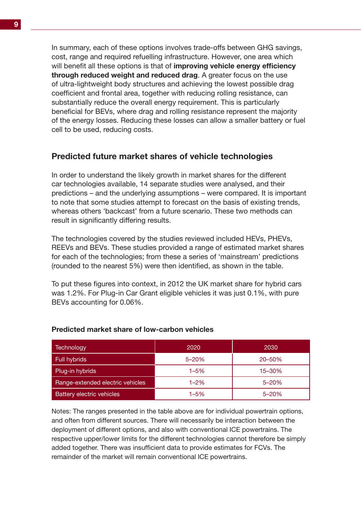In summary, each of these options involves trade-offs between GHG savings, cost, range and required refuelling infrastructure. However, one area which will benefit all these options is that of **improving vehicle energy efficiency through reduced weight and reduced drag**. A greater focus on the use of ultra-lightweight body structures and achieving the lowest possible drag coefficient and frontal area, together with reducing rolling resistance, can substantially reduce the overall energy requirement. This is particularly beneficial for BEVs, where drag and rolling resistance represent the majority of the energy losses. Reducing these losses can allow a smaller battery or fuel cell to be used, reducing costs.

## **Predicted future market shares of vehicle technologies**

In order to understand the likely growth in market shares for the different car technologies available, 14 separate studies were analysed, and their predictions – and the underlying assumptions – were compared. It is important to note that some studies attempt to forecast on the basis of existing trends, whereas others 'backcast' from a future scenario. These two methods can result in significantly differing results.

The technologies covered by the studies reviewed included HEVs, PHEVs, REEVs and BEVs. These studies provided a range of estimated market shares for each of the technologies; from these a series of 'mainstream' predictions (rounded to the nearest 5%) were then identified, as shown in the table.

To put these figures into context, in 2012 the UK market share for hybrid cars was 1.2%. For Plug-in Car Grant eligible vehicles it was just 0.1%, with pure BEVs accounting for 0.06%.

| Technology                       | 2020      | 2030      |
|----------------------------------|-----------|-----------|
| Full hybrids                     | $5 - 20%$ | 20-50%    |
| Plug-in hybrids                  | $1 - 5%$  | 15-30%    |
| Range-extended electric vehicles | $1 - 2\%$ | $5 - 20%$ |
| <b>Battery electric vehicles</b> | $1 - 5%$  | $5 - 20%$ |

#### **Predicted market share of low-carbon vehicles**

Notes: The ranges presented in the table above are for individual powertrain options, and often from different sources. There will necessarily be interaction between the deployment of different options, and also with conventional ICE powertrains. The respective upper/lower limits for the different technologies cannot therefore be simply added together. There was insufficient data to provide estimates for FCVs. The remainder of the market will remain conventional ICE powertrains.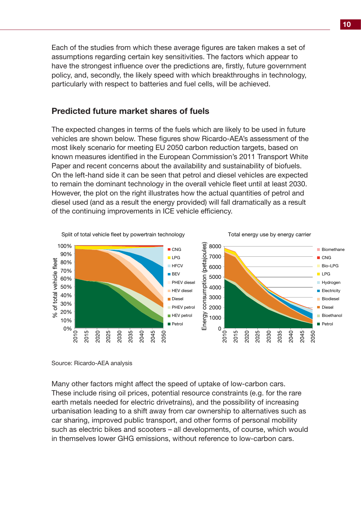Each of the studies from which these average figures are taken makes a set of assumptions regarding certain key sensitivities. The factors which appear to have the strongest influence over the predictions are, firstly, future government policy, and, secondly, the likely speed with which breakthroughs in technology, particularly with respect to batteries and fuel cells, will be achieved.

### **Predicted future market shares of fuels**

The expected changes in terms of the fuels which are likely to be used in future vehicles are shown below. These figures show Ricardo-AEA's assessment of the most likely scenario for meeting EU 2050 carbon reduction targets, based on known measures identified in the European Commission's 2011 Transport White Paper and recent concerns about the availability and sustainability of biofuels. On the left-hand side it can be seen that petrol and diesel vehicles are expected to remain the dominant technology in the overall vehicle fleet until at least 2030. However, the plot on the right illustrates how the actual quantities of petrol and diesel used (and as a result the energy provided) will fall dramatically as a result of the continuing improvements in ICE vehicle efficiency.



Source: Ricardo-AEA analysis

Many other factors might affect the speed of uptake of low-carbon cars. These include rising oil prices, potential resource constraints (e.g. for the rare earth metals needed for electric drivetrains), and the possibility of increasing urbanisation leading to a shift away from car ownership to alternatives such as car sharing, improved public transport, and other forms of personal mobility such as electric bikes and scooters – all developments, of course, which would in themselves lower GHG emissions, without reference to low-carbon cars.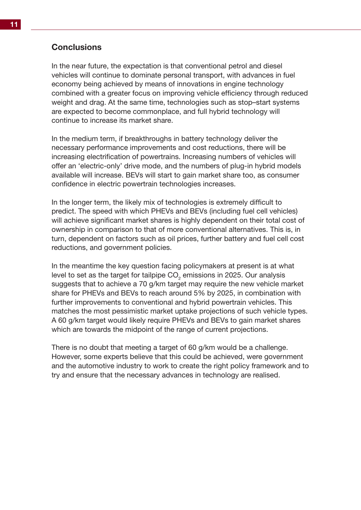## **Conclusions**

In the near future, the expectation is that conventional petrol and diesel vehicles will continue to dominate personal transport, with advances in fuel economy being achieved by means of innovations in engine technology combined with a greater focus on improving vehicle efficiency through reduced weight and drag. At the same time, technologies such as stop–start systems are expected to become commonplace, and full hybrid technology will continue to increase its market share.

In the medium term, if breakthroughs in battery technology deliver the necessary performance improvements and cost reductions, there will be increasing electrification of powertrains. Increasing numbers of vehicles will offer an 'electric-only' drive mode, and the numbers of plug-in hybrid models available will increase. BEVs will start to gain market share too, as consumer confidence in electric powertrain technologies increases.

In the longer term, the likely mix of technologies is extremely difficult to predict. The speed with which PHEVs and BEVs (including fuel cell vehicles) will achieve significant market shares is highly dependent on their total cost of ownership in comparison to that of more conventional alternatives. This is, in turn, dependent on factors such as oil prices, further battery and fuel cell cost reductions, and government policies.

In the meantime the key question facing policymakers at present is at what level to set as the target for tailpipe CO $_{_2}$  emissions in 2025. Our analysis suggests that to achieve a 70 g/km target may require the new vehicle market share for PHEVs and BEVs to reach around 5% by 2025, in combination with further improvements to conventional and hybrid powertrain vehicles. This matches the most pessimistic market uptake projections of such vehicle types. A 60 g/km target would likely require PHEVs and BEVs to gain market shares which are towards the midpoint of the range of current projections.

There is no doubt that meeting a target of 60 g/km would be a challenge. However, some experts believe that this could be achieved, were government and the automotive industry to work to create the right policy framework and to try and ensure that the necessary advances in technology are realised.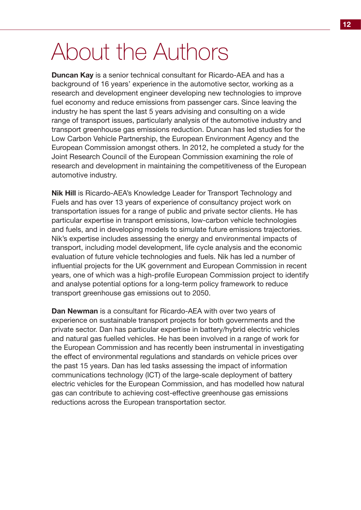# About the Authors

**Duncan Kay** is a senior technical consultant for Ricardo-AEA and has a background of 16 years' experience in the automotive sector, working as a research and development engineer developing new technologies to improve fuel economy and reduce emissions from passenger cars. Since leaving the industry he has spent the last 5 years advising and consulting on a wide range of transport issues, particularly analysis of the automotive industry and transport greenhouse gas emissions reduction. Duncan has led studies for the Low Carbon Vehicle Partnership, the European Environment Agency and the European Commission amongst others. In 2012, he completed a study for the Joint Research Council of the European Commission examining the role of research and development in maintaining the competitiveness of the European automotive industry.

**Nik Hill** is Ricardo-AEA's Knowledge Leader for Transport Technology and Fuels and has over 13 years of experience of consultancy project work on transportation issues for a range of public and private sector clients. He has particular expertise in transport emissions, low-carbon vehicle technologies and fuels, and in developing models to simulate future emissions trajectories. Nik's expertise includes assessing the energy and environmental impacts of transport, including model development, life cycle analysis and the economic evaluation of future vehicle technologies and fuels. Nik has led a number of influential projects for the UK government and European Commission in recent years, one of which was a high-profile European Commission project to identify and analyse potential options for a long-term policy framework to reduce transport greenhouse gas emissions out to 2050.

**Dan Newman** is a consultant for Ricardo-AEA with over two years of experience on sustainable transport projects for both governments and the private sector. Dan has particular expertise in battery/hybrid electric vehicles and natural gas fuelled vehicles. He has been involved in a range of work for the European Commission and has recently been instrumental in investigating the effect of environmental regulations and standards on vehicle prices over the past 15 years. Dan has led tasks assessing the impact of information communications technology (ICT) of the large-scale deployment of battery electric vehicles for the European Commission, and has modelled how natural gas can contribute to achieving cost-effective greenhouse gas emissions reductions across the European transportation sector.